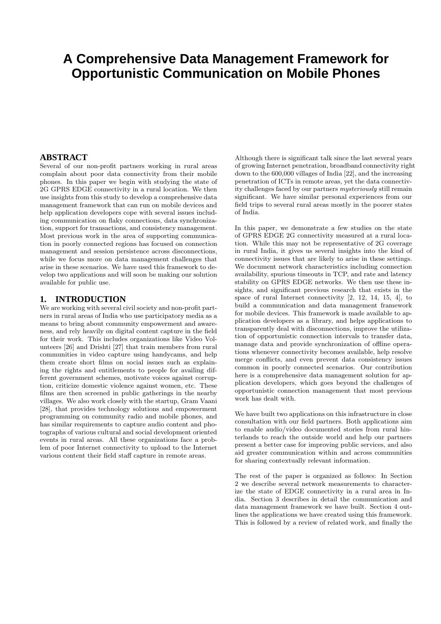# **A Comprehensive Data Management Framework for Opportunistic Communication on Mobile Phones**

# **ABSTRACT**

Several of our non-profit partners working in rural areas complain about poor data connectivity from their mobile phones. In this paper we begin with studying the state of 2G GPRS EDGE connectivity in a rural location. We then use insights from this study to develop a comprehensive data management framework that can run on mobile devices and help application developers cope with several issues including communication on flaky connections, data synchronization, support for transactions, and consistency management. Most previous work in the area of supporting communication in poorly connected regions has focused on connection management and session persistence across disconnections, while we focus more on data management challenges that arise in these scenarios. We have used this framework to develop two applications and will soon be making our solution available for public use.

### **1. INTRODUCTION**

We are working with several civil society and non-profit partners in rural areas of India who use participatory media as a means to bring about community empowerment and awareness, and rely heavily on digital content capture in the field for their work. This includes organizations like Video Volunteers [26] and Drishti [27] that train members from rural communities in video capture using handycams, and help them create short films on social issues such as explaining the rights and entitlements to people for availing different government schemes, motivate voices against corruption, criticize domestic violence against women, etc. These films are then screened in public gatherings in the nearby villages. We also work closely with the startup, Gram Vaani [28], that provides technology solutions and empowerment programming on community radio and mobile phones, and has similar requirements to capture audio content and photographs of various cultural and social development oriented events in rural areas. All these organizations face a problem of poor Internet connectivity to upload to the Internet various content their field staff capture in remote areas.

Although there is significant talk since the last several years of growing Internet penetration, broadband connectivity right down to the 600,000 villages of India [22], and the increasing penetration of ICTs in remote areas, yet the data connectivity challenges faced by our partners mysteriously still remain significant. We have similar personal experiences from our field trips to several rural areas mostly in the poorer states of India.

In this paper, we demonstrate a few studies on the state of GPRS EDGE 2G connectivity measured at a rural location. While this may not be representative of 2G coverage in rural India, it gives us several insights into the kind of connectivity issues that are likely to arise in these settings. We document network characteristics including connection availability, spurious timeouts in TCP, and rate and latency stability on GPRS EDGE networks. We then use these insights, and significant previous research that exists in the space of rural Internet connectivity [2, 12, 14, 15, 4], to build a communication and data management framework for mobile devices. This framework is made available to application developers as a library, and helps applications to transparently deal with disconnections, improve the utilization of opportunistic connection intervals to transfer data, manage data and provide synchronization of offline operations whenever connectivity becomes available, help resolve merge conflicts, and even prevent data consistency issues common in poorly connected scenarios. Our contribution here is a comprehensive data management solution for application developers, which goes beyond the challenges of opportunistic connection management that most previous work has dealt with.

We have built two applications on this infrastructure in close consultation with our field partners. Both applications aim to enable audio/video documented stories from rural hinterlands to reach the outside world and help our partners present a better case for improving public services, and also aid greater communication within and across communities for sharing contextually relevant information.

The rest of the paper is organized as follows: In Section 2 we describe several network measurements to characterize the state of EDGE connectivity in a rural area in India. Section 3 describes in detail the communication and data management framework we have built. Section 4 outlines the applications we have created using this framework. This is followed by a review of related work, and finally the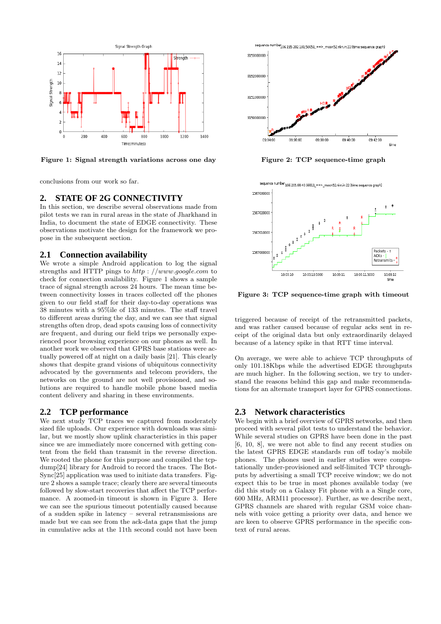

Figure 1: Signal strength variations across one day

conclusions from our work so far.

#### **2. STATE OF 2G CONNECTIVITY**

In this section, we describe several observations made from pilot tests we ran in rural areas in the state of Jharkhand in India, to document the state of EDGE connectivity. These observations motivate the design for the framework we propose in the subsequent section.

#### **2.1 Connection availability**

We wrote a simple Android application to log the signal strengths and HTTP pings to http : //www.google.com to check for connection availability. Figure 1 shows a sample trace of signal strength across 24 hours. The mean time between connectivity losses in traces collected off the phones given to our field staff for their day-to-day operations was 38 minutes with a 95%ile of 133 minutes. The staff travel to different areas during the day, and we can see that signal strengths often drop, dead spots causing loss of connectivity are frequent, and during our field trips we personally experienced poor browsing experience on our phones as well. In another work we observed that GPRS base stations were actually powered off at night on a daily basis [21]. This clearly shows that despite grand visions of ubiquitous connectivity advocated by the governments and telecom providers, the networks on the ground are not well provisioned, and solutions are required to handle mobile phone based media content delivery and sharing in these environments.

## **2.2 TCP performance**

We next study TCP traces we captured from moderately sized file uploads. Our experience with downloads was similar, but we mostly show uplink characteristics in this paper since we are immediately more concerned with getting content from the field than transmit in the reverse direction. We rooted the phone for this purpose and compiled the tcpdump[24] library for Android to record the traces. The Bot-Sync[25] application was used to initiate data transfers. Figure 2 shows a sample trace; clearly there are several timeouts followed by slow-start recoveries that affect the TCP performance. A zoomed-in timeout is shown in Figure 3. Here we can see the spurious timeout potentially caused because of a sudden spike in latency – several retransmissions are made but we can see from the ack-data gaps that the jump in cumulative acks at the 11th second could not have been



Figure 2: TCP sequence-time graph



Figure 3: TCP sequence-time graph with timeout

triggered because of receipt of the retransmitted packets, and was rather caused because of regular acks sent in receipt of the original data but only extraordinarily delayed because of a latency spike in that RTT time interval.

On average, we were able to achieve TCP throughputs of only 101.18Kbps while the advertised EDGE throughputs are much higher. In the following section, we try to understand the reasons behind this gap and make recommendations for an alternate transport layer for GPRS connections.

#### **2.3 Network characteristics**

We begin with a brief overview of GPRS networks, and then proceed with several pilot tests to understand the behavior. While several studies on GPRS have been done in the past [6, 10, 8], we were not able to find any recent studies on the latest GPRS EDGE standards run off today's mobile phones. The phones used in earlier studies were computationally under-provisioned and self-limited TCP throughputs by advertising a small TCP receive window; we do not expect this to be true in most phones available today (we did this study on a Galaxy Fit phone with a a Single core, 600 MHz, ARM11 processor). Further, as we describe next, GPRS channels are shared with regular GSM voice channels with voice getting a priority over data, and hence we are keen to observe GPRS performance in the specific context of rural areas.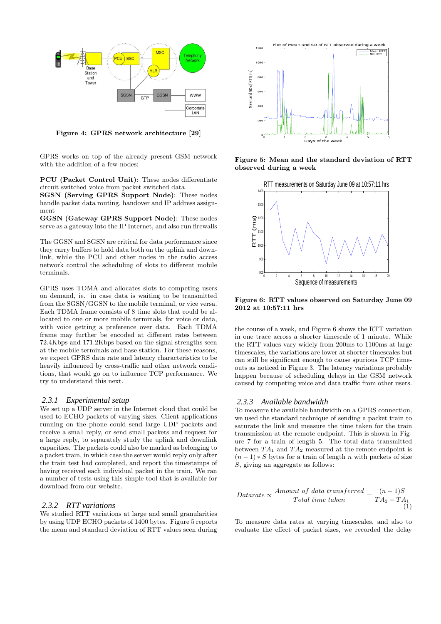

Figure 4: GPRS network architecture [29]

GPRS works on top of the already present GSM network with the addition of a few nodes:

PCU (Packet Control Unit): These nodes differentiate circuit switched voice from packet switched data

SGSN (Serving GPRS Support Node): These nodes handle packet data routing, handover and IP address assignment

GGSN (Gateway GPRS Support Node): These nodes serve as a gateway into the IP Internet, and also run firewalls

The GGSN and SGSN are critical for data performance since they carry buffers to hold data both on the uplink and downlink, while the PCU and other nodes in the radio access network control the scheduling of slots to different mobile terminals.

GPRS uses TDMA and allocates slots to competing users on demand, ie. in case data is waiting to be transmitted from the SGSN/GGSN to the mobile terminal, or vice versa. Each TDMA frame consists of 8 time slots that could be allocated to one or more mobile terminals, for voice or data, with voice getting a preference over data. Each TDMA frame may further be encoded at different rates between 72.4Kbps and 171.2Kbps based on the signal strengths seen at the mobile terminals and base station. For these reasons, we expect GPRS data rate and latency characteristics to be heavily influenced by cross-traffic and other network conditions, that would go on to influence TCP performance. We try to understand this next.

#### *2.3.1 Experimental setup*

We set up a UDP server in the Internet cloud that could be used to ECHO packets of varying sizes. Client applications running on the phone could send large UDP packets and receive a small reply, or send small packets and request for a large reply, to separately study the uplink and downlink capacities. The packets could also be marked as belonging to a packet train, in which case the server would reply only after the train test had completed, and report the timestamps of having received each individual packet in the train. We ran a number of tests using this simple tool that is available for download from our website.

#### *2.3.2 RTT variations*

We studied RTT variations at large and small granularities by using UDP ECHO packets of 1400 bytes. Figure 5 reports the mean and standard deviation of RTT values seen during



Figure 5: Mean and the standard deviation of RTT observed during a week



Figure 6: RTT values observed on Saturday June 09 2012 at 10:57:11 hrs

the course of a week, and Figure 6 shows the RTT variation in one trace across a shorter timescale of 1 minute. While the RTT values vary widely from 200ms to 1100ms at large timescales, the variations are lower at shorter timescales but can still be significant enough to cause spurious TCP timeouts as noticed in Figure 3. The latency variations probably happen because of scheduling delays in the GSM network caused by competing voice and data traffic from other users.

#### *2.3.3 Available bandwidth*

To measure the available bandwidth on a GPRS connection, we used the standard technique of sending a packet train to saturate the link and measure the time taken for the train transmission at the remote endpoint. This is shown in Figure 7 for a train of length 5. The total data transmitted between  $TA_1$  and  $TA_2$  measured at the remote endpoint is  $(n-1) * S$  bytes for a train of length n with packets of size S, giving an aggregate as follows:

$$
Datarate \propto \frac{Amount of data transferred}{Total time taken} = \frac{(n-1)S}{TA_2 - TA_1} \tag{1}
$$

To measure data rates at varying timescales, and also to evaluate the effect of packet sizes, we recorded the delay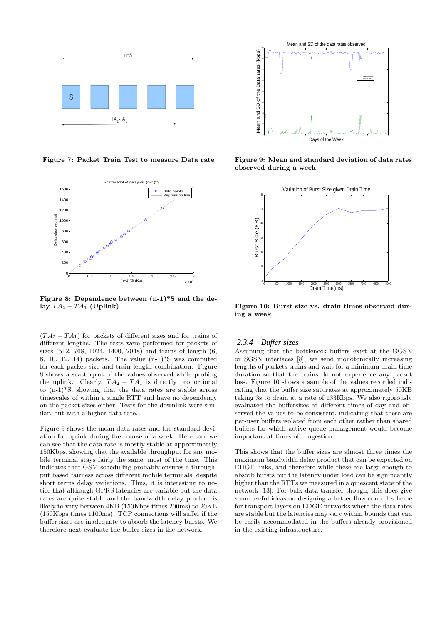

Figure 7: Packet Train Test to measure Data rate



Figure 8: Dependence between (n-1)\*S and the delay  $TA_2 - TA_1$  (Uplink)

 $(T A_2 - T A_1)$  for packets of different sizes and for trains of different lengths. The tests were performed for packets of sizes (512, 768, 1024, 1400, 2048) and trains of length (6, 8, 10, 12, 14) packets. The value (n-1)\*S was computed for each packet size and train length combination. Figure 8 shows a scatterplot of the values observed while probing the uplink. Clearly,  $TA_2 - TA_1$  is directly proportional to (n-1)\*S, showing that the data rates are stable across timescales of within a single RTT and have no dependency on the packet sizes either. Tests for the downlink were similar, but with a higher data rate.

Figure 9 shows the mean data rates and the standard deviation for uplink during the course of a week. Here too, we can see that the data rate is mostly stable at approximately 150Kbps, showing that the available throughput for any mobile terminal stays fairly the same, most of the time. This indicates that GSM scheduling probably ensures a throughput based fairness across different mobile terminals, despite short terms delay variations. Thus, it is interesting to notice that although GPRS latencies are variable but the data rates are quite stable and the bandwidth delay product is likely to vary between 4KB (150Kbps times 200ms) to 20KB (150Kbps times 1100ms). TCP connections will suffer if the buffer sizes are inadequate to absorb the latency bursts. We therefore next evaluate the buffer sizes in the network.



Figure 9: Mean and standard deviation of data rates observed during a week



Figure 10: Burst size vs. drain times observed during a week

#### *2.3.4 Buffer sizes*

Assuming that the bottleneck buffers exist at the GGSN or SGSN interfaces [8], we send monotonically increasing lengths of packets trains and wait for a minimum drain time duration so that the trains do not experience any packet loss. Figure 10 shows a sample of the values recorded indicating that the buffer size saturates at approximately 50KB taking 3s to drain at a rate of 133Kbps. We also rigorously evaluated the buffersizes at different times of day and observed the values to be consistent, indicating that these are per-user buffers isolated from each other rather than shared buffers for which active queue management would become important at times of congestion.

This shows that the buffer sizes are almost three times the maximum bandwidth delay product that can be expected on EDGE links, and therefore while these are large enough to absorb bursts but the latency under load can be significantly higher than the RTTs we measured in a quiescent state of the network [13]. For bulk data transfer though, this does give some useful ideas on designing a better flow control scheme for transport layers on EDGE networks where the data rates are stable but the latencies may vary within bounds that can be easily accommodated in the buffers already provisioned in the existing infrastructure.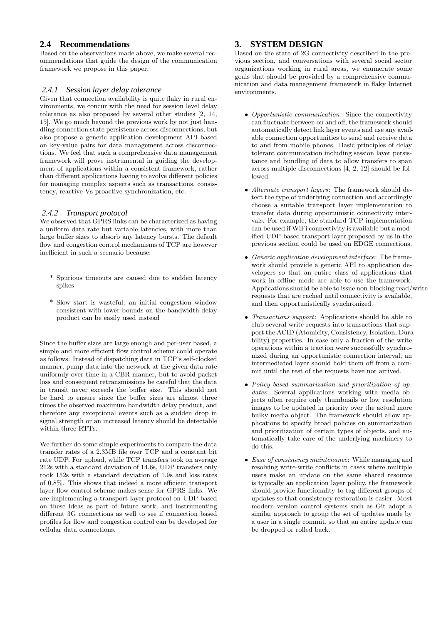# **2.4 Recommendations**

Based on the observations made above, we make several recommendations that guide the design of the communication framework we propose in this paper.

### *2.4.1 Session layer delay tolerance*

Given that connection availability is quite flaky in rural environments, we concur with the need for session level delay tolerance as also proposed by several other studies [2, 14, 15]. We go much beyond the previous work by not just handling connection state persistence across disconnections, but also propose a generic application development API based on key-value pairs for data management across disconnections. We feel that such a comprehensive data management framework will prove instrumental in guiding the development of applications within a consistent framework, rather than different applications having to evolve different policies for managing complex aspects such as transactions, consistency, reactive Vs proactive synchronization, etc.

### *2.4.2 Transport protocol*

We observed that GPRS links can be characterized as having a uniform data rate but variable latencies, with more than large buffer sizes to absorb any latency bursts. The default flow and congestion control mechanisms of TCP are however inefficient in such a scenario because:

- \* Spurious timeouts are caused due to sudden latency spikes
- \* Slow start is wasteful; an initial congestion window consistent with lower bounds on the bandwidth delay product can be easily used instead

Since the buffer sizes are large enough and per-user based, a simple and more efficient flow control scheme could operate as follows: Instead of dispatching data in TCP's self-clocked manner, pump data into the network at the given data rate uniformly over time in a CBR manner, but to avoid packet loss and consequent retransmissions be careful that the data in transit never exceeds the buffer size. This should not be hard to ensure since the buffer sizes are almost three times the observed maximum bandwidth delay product, and therefore any exceptional events such as a sudden drop in signal strength or an increased latency should be detectable within three RTTs.

We further do some simple experiments to compare the data transfer rates of a 2.3MB file over TCP and a constant bit rate UDP. For upload, while TCP transfers took on average 212s with a standard deviation of 14.6s, UDP transfers only took 152s with a standard deviation of 1.9s and loss rates of 0.8%. This shows that indeed a more efficient transport layer flow control scheme makes sense for GPRS links. We are implementing a transport layer protocol on UDP based on these ideas as part of future work, and instrumenting different 3G connections as well to see if connection based profiles for flow and congestion control can be developed for cellular data connections.

# **3. SYSTEM DESIGN**

Based on the state of 2G connectivity described in the previous section, and conversations with several social sector organizations working in rural areas, we enumerate some goals that should be provided by a comprehensive communication and data management framework in flaky Internet environments.

- Opportunistic communication: Since the connectivity can fluctuate between on and off, the framework should automatically detect link layer events and use any available connection opportunities to send and receive data to and from mobile phones. Basic principles of delay tolerant communication including session layer persistance and bundling of data to allow transfers to span across multiple disconnections [4, 2, 12] should be followed.
- Alternate transport layers: The framework should detect the type of underlying connection and accordingly choose a suitable transport layer implementation to transfer data during opportunistic connectivity intervals. For example, the standard TCP implementation can be used if WiFi connectivity is available but a modified UDP-based transport layer proposed by us in the previous section could be used on EDGE connections.
- Generic application development interface: The framework should provide a generic API to application developers so that an entire class of applications that work in offline mode are able to use the framework. Applications should be able to issue non-blocking read/write requests that are cached until connectivity is available, and then opportunistically synchronized.
- Transactions support: Applications should be able to club several write requests into transactions that support the ACID (Atomicity, Consistency, Isolation, Durability) properties. In case only a fraction of the write operations within a traction were successfully synchronized during an opportunistic connection interval, an intermediated layer should hold them off from a commit until the rest of the requests have not arrived.
- Policy based summarization and prioritization of updates: Several applications working with media objects often require only thumbnails or low resolution images to be updated in priority over the actual more bulky media object. The framework should allow applications to specify broad policies on summarization and prioritization of certain types of objects, and automatically take care of the underlying machinery to do this.
- Ease of consistency maintenance: While managing and resolving write-write conflicts in cases where multiple users make an update on the same shared resource is typically an application layer policy, the framework should provide functionality to tag different groups of updates so that consistency restoration is easier. Most modern version control systems such as Git adopt a similar approach to group the set of updates made by a user in a single commit, so that an entire update can be dropped or rolled back.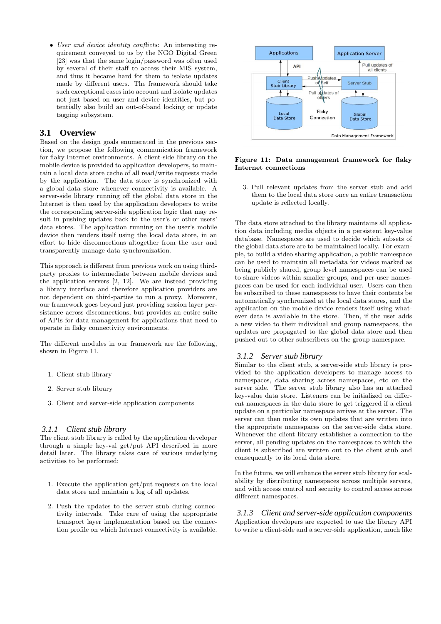• User and device identity conflicts: An interesting requirement conveyed to us by the NGO Digital Green [23] was that the same login/password was often used by several of their staff to access their MIS system, and thus it became hard for them to isolate updates made by different users. The framework should take such exceptional cases into account and isolate updates not just based on user and device identities, but potentially also build an out-of-band locking or update tagging subsystem.

## **3.1 Overview**

Based on the design goals enumerated in the previous section, we propose the following communication framework for flaky Internet environments. A client-side library on the mobile device is provided to application developers, to maintain a local data store cache of all read/write requests made by the application. The data store is synchronized with a global data store whenever connectivity is available. A server-side library running off the global data store in the Internet is then used by the application developers to write the corresponding server-side application logic that may result in pushing updates back to the user's or other users' data stores. The application running on the user's mobile device then renders itself using the local data store, in an effort to hide disconnections altogether from the user and transparently manage data synchronization.

This approach is different from previous work on using thirdparty proxies to intermediate between mobile devices and the application servers [2, 12]. We are instead providing a library interface and therefore application providers are not dependent on third-parties to run a proxy. Moreover, our framework goes beyond just providing session layer persistance across disconnections, but provides an entire suite of APIs for data management for applications that need to operate in flaky connectivity environments.

The different modules in our framework are the following, shown in Figure 11.

- 1. Client stub library
- 2. Server stub library
- 3. Client and server-side application components

#### *3.1.1 Client stub library*

The client stub library is called by the application developer through a simple key-val get/put API described in more detail later. The library takes care of various underlying activities to be performed:

- 1. Execute the application get/put requests on the local data store and maintain a log of all updates.
- 2. Push the updates to the server stub during connectivity intervals. Take care of using the appropriate transport layer implementation based on the connection profile on which Internet connectivity is available.



#### Figure 11: Data management framework for flaky Internet connections

3. Pull relevant updates from the server stub and add them to the local data store once an entire transaction update is reflected locally.

The data store attached to the library maintains all application data including media objects in a persistent key-value database. Namespaces are used to decide which subsets of the global data store are to be maintained locally. For example, to build a video sharing application, a public namespace can be used to maintain all metadata for videos marked as being publicly shared, group level namespaces can be used to share videos within smaller groups, and per-user namespaces can be used for each individual user. Users can then be subscribed to these namespaces to have their contents be automatically synchronized at the local data stores, and the application on the mobile device renders itself using whatever data is available in the store. Then, if the user adds a new video to their individual and group namespaces, the updates are propagated to the global data store and then pushed out to other subscribers on the group namespace.

#### *3.1.2 Server stub library*

Similar to the client stub, a server-side stub library is provided to the application developers to manage access to namespaces, data sharing across namespaces, etc on the server side. The server stub library also has an attached key-value data store. Listeners can be initialized on different namespaces in the data store to get triggered if a client update on a particular namespace arrives at the server. The server can then make its own updates that are written into the appropriate namespaces on the server-side data store. Whenever the client library establishes a connection to the server, all pending updates on the namespaces to which the client is subscribed are written out to the client stub and consequently to its local data store.

In the future, we will enhance the server stub library for scalability by distributing namespaces across multiple servers, and with access control and security to control access across different namespaces.

*3.1.3 Client and server-side application components* Application developers are expected to use the library API to write a client-side and a server-side application, much like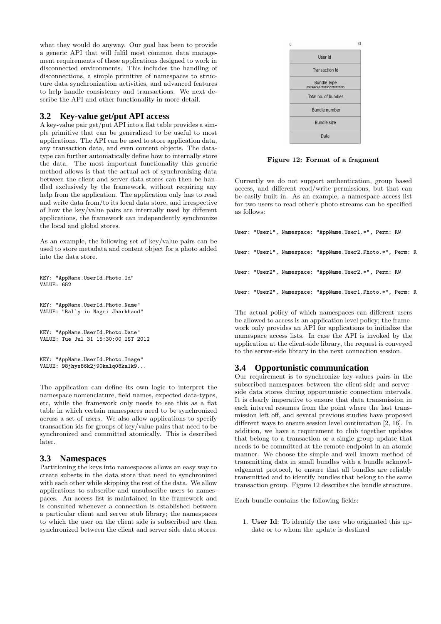what they would do anyway. Our goal has been to provide a generic API that will fulfil most common data management requirements of these applications designed to work in disconnected environments. This includes the handling of disconnections, a simple primitive of namespaces to structure data synchronization activities, and advanced features to help handle consistency and transactions. We next describe the API and other functionality in more detail.

## **3.2 Key-value get/put API access**

A key-value pair get/put API into a flat table provides a simple primitive that can be generalized to be useful to most applications. The API can be used to store application data, any transaction data, and even content objects. The datatype can further automatically define how to internally store the data. The most important functionality this generic method allows is that the actual act of synchronizing data between the client and server data stores can then be handled exclusively by the framework, without requiring any help from the application. The application only has to read and write data from/to its local data store, and irrespective of how the key/value pairs are internally used by different applications, the framework can independently synchronize the local and global stores.

As an example, the following set of key/value pairs can be used to store metadata and content object for a photo added into the data store.

```
KEY: "AppName.UserId.Photo.Id"
VALUE: 652
KEY: "AppName.UserId.Photo.Name"
VALUE: "Rally in Nagri Jharkhand"
```

```
KEY: "AppName.UserId.Photo.Date"
VALUE: Tue Jul 31 15:30:00 IST 2012
```

```
KEY: "AppName.UserId.Photo.Image"
VALUE: 98jhys86k2j90kalq08ka1k9...
```
The application can define its own logic to interpret the namespace nomenclature, field names, expected data-types, etc, while the framework only needs to see this as a flat table in which certain namespaces need to be synchronized across a set of users. We also allow applications to specify transaction ids for groups of key/value pairs that need to be synchronized and committed atomically. This is described later.

## **3.3 Namespaces**

Partitioning the keys into namespaces allows an easy way to create subsets in the data store that need to synchronized with each other while skipping the rest of the data. We allow applications to subscribe and unsubscribe users to namespaces. An access list is maintained in the framework and is consulted whenever a connection is established between a particular client and server stub library; the namespaces to which the user on the client side is subscribed are then synchronized between the client and server side data stores.



Figure 12: Format of a fragment

Currently we do not support authentication, group based access, and different read/write permissions, but that can be easily built in. As an example, a namespace access list for two users to read other's photo streams can be specified as follows:

|  | User: "User1", Namespace: "AppName.User1.*", Perm: RW      |  |
|--|------------------------------------------------------------|--|
|  | User: "User1", Namespace: "AppName.User2.Photo.*", Perm: R |  |
|  | User: "User2", Namespace: "AppName.User2.*", Perm: RW      |  |
|  | User: "User2", Namespace: "AppName.User1.Photo.*", Perm: R |  |

The actual policy of which namespaces can different users be allowed to access is an application level policy; the framework only provides an API for applications to initialize the namespace access lists. In case the API is invoked by the application at the client-side library, the request is conveyed to the server-side library in the next connection session.

# **3.4 Opportunistic communication**

Our requirement is to synchronize key-values pairs in the subscribed namespaces between the client-side and serverside data stores during opportunistic connection intervals. It is clearly imperative to ensure that data transmission in each interval resumes from the point where the last transmission left off, and several previous studies have proposed different ways to ensure session level continuation [2, 16]. In addition, we have a requirement to club together updates that belong to a transaction or a single group update that needs to be committed at the remote endpoint in an atomic manner. We choose the simple and well known method of transmitting data in small bundles with a bundle acknowledgement protocol, to ensure that all bundles are reliably transmitted and to identify bundles that belong to the same transaction group. Figure 12 describes the bundle structure.

Each bundle contains the following fields:

1. User Id: To identify the user who originated this update or to whom the update is destined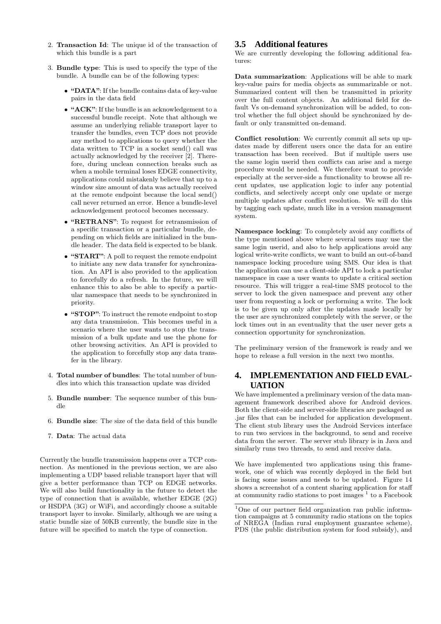- 2. Transaction Id: The unique id of the transaction of which this bundle is a part
- 3. Bundle type: This is used to specify the type of the bundle. A bundle can be of the following types:
	- "DATA": If the bundle contains data of key-value pairs in the data field
	- "ACK": If the bundle is an acknowledgement to a successful bundle receipt. Note that although we assume an underlying reliable transport layer to transfer the bundles, even TCP does not provide any method to applications to query whether the data written to TCP in a socket send() call was actually acknowledged by the receiver [2]. Therefore, during unclean connection breaks such as when a mobile terminal loses EDGE connectivity, applications could mistakenly believe that up to a window size amount of data was actually received at the remote endpoint because the local send() call never returned an error. Hence a bundle-level acknowledgement protocol becomes necessary.
	- "RETRANS": To request for retransmission of a specific transaction or a particular bundle, depending on which fields are initialized in the bundle header. The data field is expected to be blank.
	- "START": A poll to request the remote endpoint to initiate any new data transfer for synchronization. An API is also provided to the application to forcefully do a refresh. In the future, we will enhance this to also be able to specify a particular namespace that needs to be synchronized in priority.
	- "STOP": To instruct the remote endpoint to stop any data transmission. This becomes useful in a scenario where the user wants to stop the transmission of a bulk update and use the phone for other browsing activities. An API is provided to the application to forcefully stop any data transfer in the library.
- 4. Total number of bundles: The total number of bundles into which this transaction update was divided
- 5. Bundle number: The sequence number of this bundle
- 6. Bundle size: The size of the data field of this bundle
- 7. Data: The actual data

Currently the bundle transmission happens over a TCP connection. As mentioned in the previous section, we are also implementing a UDP based reliable transport layer that will give a better performance than TCP on EDGE networks. We will also build functionality in the future to detect the type of connection that is available, whether EDGE (2G) or HSDPA (3G) or WiFi, and accordingly choose a suitable transport layer to invoke. Similarly, although we are using a static bundle size of 50KB currently, the bundle size in the future will be specified to match the type of connection.

# **3.5 Additional features**

We are currently developing the following additional features:

Data summarization: Applications will be able to mark key-value pairs for media objects as summarizable or not. Summarized content will then be transmitted in priority over the full content objects. An additional field for default Vs on-demand synchronization will be added, to control whether the full object should be synchronized by default or only transmitted on-demand.

Conflict resolution: We currently commit all sets up updates made by different users once the data for an entire transaction has been received. But if multiple users use the same login userid then conflicts can arise and a merge procedure would be needed. We therefore want to provide especially at the server-side a functionality to browse all recent updates, use application logic to infer any potential conflicts, and selectively accept only one update or merge multiple updates after conflict resolution. We will do this by tagging each update, much like in a version management system.

Namespace locking: To completely avoid any conflicts of the type mentioned above where several users may use the same login userid, and also to help applications avoid any logical write-write conflicts, we want to build an out-of-band namespace locking procedure using SMS. Our idea is that the application can use a client-side API to lock a particular namespace in case a user wants to update a critical section resource. This will trigger a real-time SMS protocol to the server to lock the given namespace and prevent any other user from requesting a lock or performing a write. The lock is to be given up only after the updates made locally by the user are synchronized completely with the server, or the lock times out in an eventuality that the user never gets a connection opportunity for synchronization.

The preliminary version of the framework is ready and we hope to release a full version in the next two months.

# **4. IMPLEMENTATION AND FIELD EVAL-UATION**

We have implemented a preliminary version of the data management framework described above for Android devices. Both the client-side and server-side libraries are packaged as .jar files that can be included for application development. The client stub library uses the Android Services interface to run two services in the background, to send and receive data from the server. The server stub library is in Java and similarly runs two threads, to send and receive data.

We have implemented two applications using this framework, one of which was recently deployed in the field but is facing some issues and needs to be updated. Figure 14 shows a screenshot of a content sharing application for staff at community radio stations to post images  $1$  to a Facebook

<sup>&</sup>lt;sup>1</sup>One of our partner field organization ran public information campaigns at 5 community radio stations on the topics of NREGA (Indian rural employment guarantee scheme), PDS (the public distribution system for food subsidy), and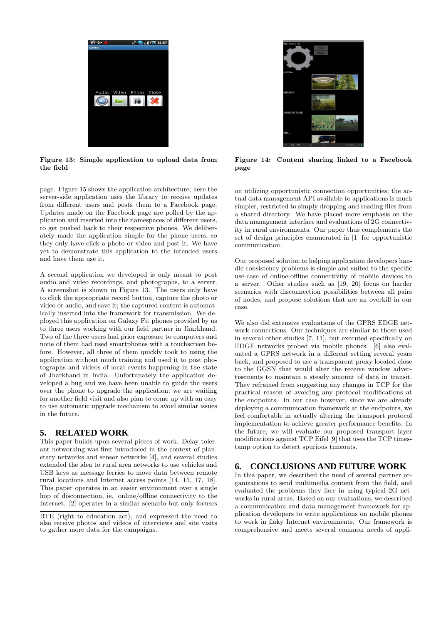

Figure 13: Simple application to upload data from the field

page. Figure 15 shows the application architecture; here the server-side application uses the library to receive updates from different users and posts them to a Facebook page. Updates made on the Facebook page are polled by the application and inserted into the namespaces of different users, to get pushed back to their respective phones. We deliberately made the application simple for the phone users, so they only have click a photo or video and post it. We have yet to demonstrate this application to the intended users and have them use it.

A second application we developed is only meant to post audio and video recordings, and photographs, to a server. A screenshot is shown in Figure 13. The users only have to click the appropriate record button, capture the photo or video or audio, and save it; the captured content is automatically inserted into the framework for transmission. We deployed this application on Galaxy Fit phones provided by us to three users working with our field partner in Jharkhand. Two of the three users had prior exposure to computers and none of them had used smartphones with a touchscreen before. However, all three of them quickly took to using the application without much training and used it to post photographs and videos of local events happening in the state of Jharkhand in India. Unfortunately the application developed a bug and we have been unable to guide the users over the phone to upgrade the application; we are waiting for another field visit and also plan to come up with an easy to use automatic upgrade mechanism to avoid similar issues in the future.

## **5. RELATED WORK**

This paper builds upon several pieces of work. Delay tolerant networking was first introduced in the context of planetary networks and sensor networks [4], and several studies extended the idea to rural area networks to use vehicles and USB keys as message ferries to move data between remote rural locations and Internet access points [14, 15, 17, 18]. This paper operates in an easier environment over a single hop of disconnection, ie. online/offline connectivity to the Internet. [2] operates in a similar scenario but only focuses



Figure 14: Content sharing linked to a Facebook page

on utilizing opportunistic connection opportunities; the actual data management API available to applications is much simpler, restricted to simply dropping and reading files from a shared directory. We have placed more emphasis on the data management interface and evaluations of 2G connectivity in rural environments. Our paper thus complements the set of design principles enumerated in [1] for opportunistic communication.

Our proposed solution to helping application developers handle consistency problems is simple and suited to the specific use-case of online-offline connectivity of mobile devices to a server. Other studies such as [19, 20] focus on harder scenarios with disconnection possibilities between all pairs of nodes, and propose solutions that are an overkill in our case.

We also did extensive evaluations of the GPRS EDGE network connections. Our techniques are similar to those used in several other studies [7, 11], but executed specifically on EDGE networks probed via mobile phones. [6] also evaluated a GPRS network in a different setting several years back, and proposed to use a transparent proxy located close to the GGSN that would alter the receive window advertisements to maintain a steady amount of data in transit. They refrained from suggesting any changes in TCP for the practical reason of avoiding any protocol modifications at the endpoints. In our case however, since we are already deploying a communication framework at the endpoints, we feel comfortable in actually altering the transport protocol implementation to achieve greater performance benefits. In the future, we will evaluate our proposed transport layer modifications against TCP Eifel [9] that uses the TCP timestamp option to detect spurious timeouts.

# **6. CONCLUSIONS AND FUTURE WORK**

In this paper, we described the need of several partner organizations to send multimedia content from the field, and evaluated the problems they face in using typical 2G networks in rural areas. Based on our evaluations, we described a communication and data management framework for application developers to write applications on mobile phones to work in flaky Internet environments. Our framework is comprehensive and meets several common needs of appli-

RTE (right to education act), and expressed the need to also receive photos and videos of interviews and site visits to gather more data for the campaigns.